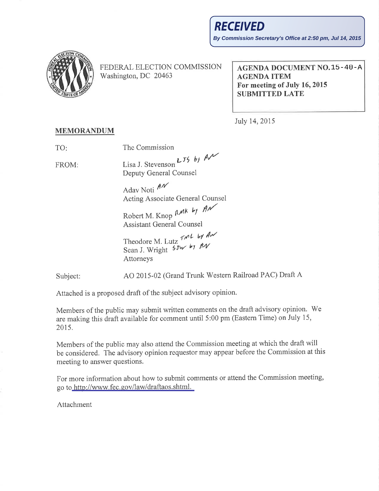

FEDERAL ELECTION COMMISSION Washington, DC 20463

**AGENDA DOCUMENT NO.15-40-A AGENDA ITEM** For meeting of July 16, 2015 **SUBMITTED LATE** 

July 14, 2015

## **MEMORANDUM**

The Commission TO:

Lisa J. Stevenson  $L_{\tau}$   $\phi$   $\theta$ FROM: Deputy General Counsel

> Adav Noti AN Acting Associate General Counsel

Robert M. Knop RMK by AN **Assistant General Counsel** 

Theodore M. Lutz TML by AM<br>Sean J. Wright 5Jw by AN Attorneys

AO 2015-02 (Grand Trunk Western Railroad PAC) Draft A Subject:

Attached is a proposed draft of the subject advisory opinion.

Members of the public may submit written comments on the draft advisory opinion. We are making this draft available for comment until 5:00 pm (Eastern Time) on July 15, 2015.

Members of the public may also attend the Commission meeting at which the draft will be considered. The advisory opinion requestor may appear before the Commission at this meeting to answer questions.

For more information about how to submit comments or attend the Commission meeting, go to http://www.fec.gov/law/draftaos.shtml.

Attachment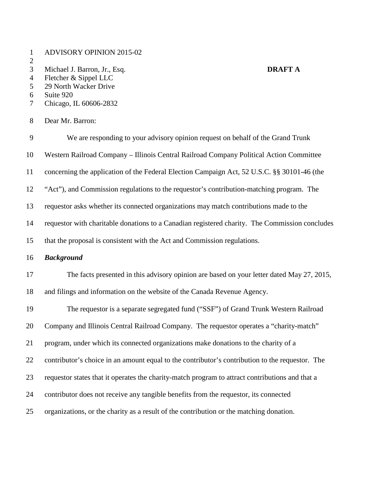- ADVISORY OPINION 2015-02
- $\frac{2}{3}$
- Michael J. Barron, Jr., Esq. **DRAFT A**

- Fletcher & Sippel LLC 29 North Wacker Drive
- 
- 6 Suite 920<br>7 Chicago, I Chicago, IL 60606-2832
- Dear Mr. Barron:

| 9  | We are responding to your advisory opinion request on behalf of the Grand Trunk                 |
|----|-------------------------------------------------------------------------------------------------|
| 10 | Western Railroad Company - Illinois Central Railroad Company Political Action Committee         |
| 11 | concerning the application of the Federal Election Campaign Act, 52 U.S.C. §§ 30101-46 (the     |
| 12 | "Act"), and Commission regulations to the requestor's contribution-matching program. The        |
| 13 | requestor asks whether its connected organizations may match contributions made to the          |
| 14 | requestor with charitable donations to a Canadian registered charity. The Commission concludes  |
| 15 | that the proposal is consistent with the Act and Commission regulations.                        |
| 16 | <b>Background</b>                                                                               |
| 17 | The facts presented in this advisory opinion are based on your letter dated May 27, 2015,       |
| 18 | and filings and information on the website of the Canada Revenue Agency.                        |
| 19 | The requestor is a separate segregated fund ("SSF") of Grand Trunk Western Railroad             |
| 20 | Company and Illinois Central Railroad Company. The requestor operates a "charity-match"         |
| 21 | program, under which its connected organizations make donations to the charity of a             |
| 22 | contributor's choice in an amount equal to the contributor's contribution to the requestor. The |
| 23 | requestor states that it operates the charity-match program to attract contributions and that a |
| 24 | contributor does not receive any tangible benefits from the requestor, its connected            |
| 25 | organizations, or the charity as a result of the contribution or the matching donation.         |
|    |                                                                                                 |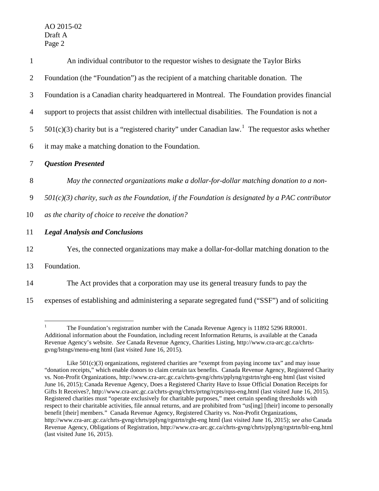| $\mathbf{1}$   | An individual contributor to the requestor wishes to designate the Taylor Birks                               |
|----------------|---------------------------------------------------------------------------------------------------------------|
| 2              | Foundation (the "Foundation") as the recipient of a matching charitable donation. The                         |
| 3              | Foundation is a Canadian charity headquartered in Montreal. The Foundation provides financial                 |
| $\overline{4}$ | support to projects that assist children with intellectual disabilities. The Foundation is not a              |
| 5              | $501(c)(3)$ charity but is a "registered charity" under Canadian law. <sup>1</sup> The requestor asks whether |
| 6              | it may make a matching donation to the Foundation.                                                            |
| $\overline{7}$ | <b>Question Presented</b>                                                                                     |
| 8              | May the connected organizations make a dollar-for-dollar matching donation to a non-                          |
| 9              | $501(c)(3)$ charity, such as the Foundation, if the Foundation is designated by a PAC contributor             |
| 10             | as the charity of choice to receive the donation?                                                             |
| 11             | <b>Legal Analysis and Conclusions</b>                                                                         |
| 12             | Yes, the connected organizations may make a dollar-for-dollar matching donation to the                        |
| 13             | Foundation.                                                                                                   |
| 14             | The Act provides that a corporation may use its general treasury funds to pay the                             |
|                |                                                                                                               |

15 expenses of establishing and administering a separate segregated fund ("SSF") and of soliciting

 $\frac{1}{1}$  The Foundation's registration number with the Canada Revenue Agency is 11892 5296 RR0001. Additional information about the Foundation, including recent Information Returns, is available at the Canada Revenue Agency's website. *See* Canada Revenue Agency, Charities Listing, http://www.cra-arc.gc.ca/chrtsgvng/lstngs/menu-eng html (last visited June 16, 2015).

Like  $501(c)(3)$  organizations, registered charities are "exempt from paying income tax" and may issue "donation receipts," which enable donors to claim certain tax benefits. Canada Revenue Agency, Registered Charity vs. Non-Profit Organizations, http://www.cra-arc.gc.ca/chrts-gvng/chrts/pplyng/rgstrtn/rght-eng html (last visited June 16, 2015); Canada Revenue Agency, Does a Registered Charity Have to Issue Official Donation Receipts for Gifts It Receives?, http://www.cra-arc.gc.ca/chrts-gvng/chrts/prtng/rcpts/rqss-eng.html (last visited June 16, 2015). Registered charities must "operate exclusively for charitable purposes," meet certain spending thresholds with respect to their charitable activities, file annual returns, and are prohibited from "us[ing] [their] income to personally benefit [their] members." Canada Revenue Agency, Registered Charity vs. Non-Profit Organizations, http://www.cra-arc.gc.ca/chrts-gvng/chrts/pplyng/rgstrtn/rght-eng html (last visited June 16, 2015); *see also* Canada Revenue Agency, Obligations of Registration, http://www.cra-arc.gc.ca/chrts-gvng/chrts/pplyng/rgstrtn/blr-eng.html (last visited June 16, 2015).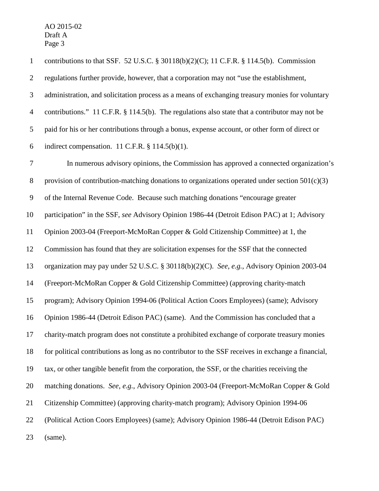contributions to that SSF. 52 U.S.C. § 30118(b)(2)(C); 11 C.F.R. § 114.5(b). Commission regulations further provide, however, that a corporation may not "use the establishment, administration, and solicitation process as a means of exchanging treasury monies for voluntary contributions." 11 C.F.R. § 114.5(b). The regulations also state that a contributor may not be paid for his or her contributions through a bonus, expense account, or other form of direct or 6 indirect compensation. 11 C.F.R.  $§$  114.5(b)(1). In numerous advisory opinions, the Commission has approved a connected organization's 8 provision of contribution-matching donations to organizations operated under section  $501(c)(3)$  of the Internal Revenue Code. Because such matching donations "encourage greater participation" in the SSF, *see* Advisory Opinion 1986-44 (Detroit Edison PAC) at 1; Advisory Opinion 2003-04 (Freeport-McMoRan Copper & Gold Citizenship Committee) at 1, the Commission has found that they are solicitation expenses for the SSF that the connected organization may pay under 52 U.S.C. § 30118(b)(2)(C). *See, e.g.*, Advisory Opinion 2003-04 (Freeport-McMoRan Copper & Gold Citizenship Committee) (approving charity-match program); Advisory Opinion 1994-06 (Political Action Coors Employees) (same); Advisory Opinion 1986-44 (Detroit Edison PAC) (same). And the Commission has concluded that a charity-match program does not constitute a prohibited exchange of corporate treasury monies for political contributions as long as no contributor to the SSF receives in exchange a financial, tax, or other tangible benefit from the corporation, the SSF, or the charities receiving the matching donations. *See, e.g.*, Advisory Opinion 2003-04 (Freeport-McMoRan Copper & Gold Citizenship Committee) (approving charity-match program); Advisory Opinion 1994-06 (Political Action Coors Employees) (same); Advisory Opinion 1986-44 (Detroit Edison PAC)

(same).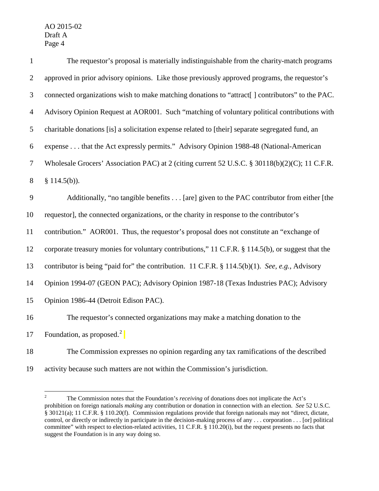| $\mathbf{1}$   | The requestor's proposal is materially indistinguishable from the charity-match programs          |
|----------------|---------------------------------------------------------------------------------------------------|
| $\overline{2}$ | approved in prior advisory opinions. Like those previously approved programs, the requestor's     |
| $\mathfrak{Z}$ | connected organizations wish to make matching donations to "attract[] contributors" to the PAC.   |
| $\overline{4}$ | Advisory Opinion Request at AOR001. Such "matching of voluntary political contributions with      |
| 5              | charitable donations [is] a solicitation expense related to [their] separate segregated fund, an  |
| 6              | expense that the Act expressly permits." Advisory Opinion 1988-48 (National-American              |
| 7              | Wholesale Grocers' Association PAC) at 2 (citing current 52 U.S.C. § 30118(b)(2)(C); 11 C.F.R.    |
| $8\,$          | § $114.5(b)$ ).                                                                                   |
| 9              | Additionally, "no tangible benefits [are] given to the PAC contributor from either [the           |
| 10             | requestor], the connected organizations, or the charity in response to the contributor's          |
| 11             | contribution." AOR001. Thus, the requestor's proposal does not constitute an "exchange of         |
| 12             | corporate treasury monies for voluntary contributions," 11 C.F.R. § 114.5(b), or suggest that the |
| 13             | contributor is being "paid for" the contribution. 11 C.F.R. § 114.5(b)(1). See, e.g., Advisory    |
| 14             | Opinion 1994-07 (GEON PAC); Advisory Opinion 1987-18 (Texas Industries PAC); Advisory             |
| 15             | Opinion 1986-44 (Detroit Edison PAC).                                                             |
| 16             | The requestor's connected organizations may make a matching donation to the                       |
| 17             | Foundation, as proposed. $2 \mid$                                                                 |
|                |                                                                                                   |

The Commission expresses no opinion regarding any tax ramifications of the described

activity because such matters are not within the Commission's jurisdiction.

<sup>&</sup>lt;sup>2</sup> The Commission notes that the Foundation's *receiving* of donations does not implicate the Act's prohibition on foreign nationals *making* any contribution or donation in connection with an election. *See* 52 U.S.C. § 30121(a); 11 C.F.R. § 110.20(f). Commission regulations provide that foreign nationals may not "direct, dictate, control, or directly or indirectly in participate in the decision-making process of any . . . corporation . . . [or] political committee" with respect to election-related activities, 11 C.F.R. § 110.20(i), but the request presents no facts that suggest the Foundation is in any way doing so.